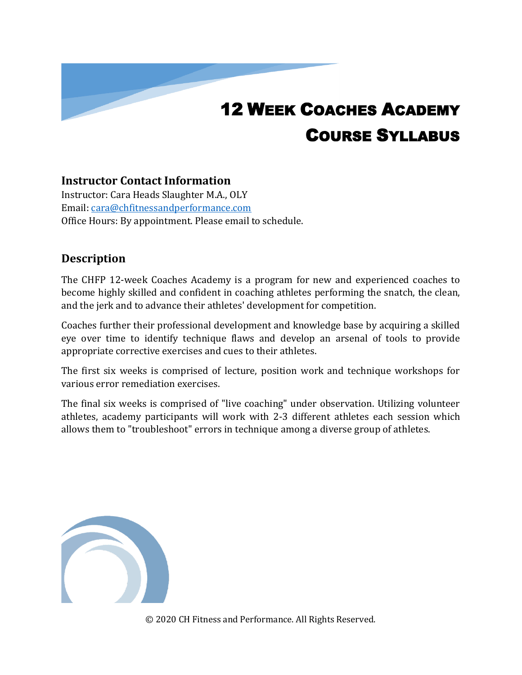# 12 WEEK COACHES ACADEMY COURSE SYLLABUS

#### **Instructor Contact Information**

Instructor: Cara Heads Slaughter M.A., OLY Email: [cara@chfitnessandperformance.com](mailto:cara@chfitnessandperformance.com) Office Hours: By appointment. Please email to schedule.

#### **Description**

The CHFP 12-week Coaches Academy is a program for new and experienced coaches to become highly skilled and confident in coaching athletes performing the snatch, the clean, and the jerk and to advance their athletes' development for competition.

Coaches further their professional development and knowledge base by acquiring a skilled eye over time to identify technique flaws and develop an arsenal of tools to provide appropriate corrective exercises and cues to their athletes.

The first six weeks is comprised of lecture, position work and technique workshops for various error remediation exercises.

The final six weeks is comprised of "live coaching" under observation. Utilizing volunteer athletes, academy participants will work with 2-3 different athletes each session which allows them to "troubleshoot" errors in technique among a diverse group of athletes.

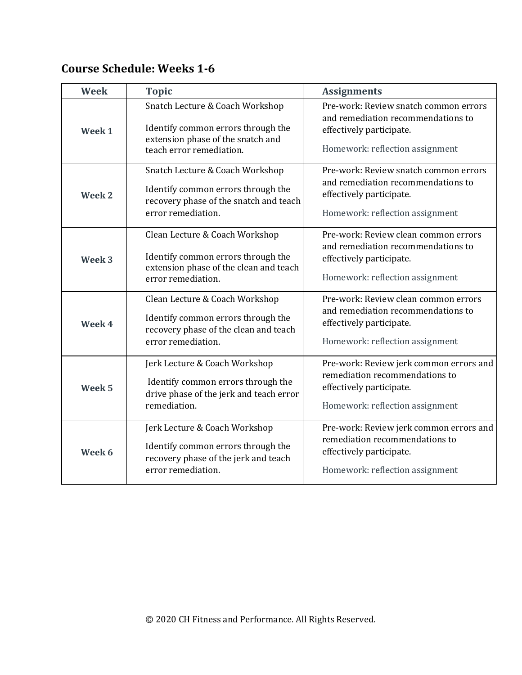## **Course Schedule: Weeks 1-6**

| <b>Week</b>       | <b>Topic</b>                                                                                                                           | <b>Assignments</b>                                                                                                                         |
|-------------------|----------------------------------------------------------------------------------------------------------------------------------------|--------------------------------------------------------------------------------------------------------------------------------------------|
| Week <sub>1</sub> | Snatch Lecture & Coach Workshop<br>Identify common errors through the<br>extension phase of the snatch and<br>teach error remediation. | Pre-work: Review snatch common errors<br>and remediation recommendations to<br>effectively participate.<br>Homework: reflection assignment |
| Week 2            | Snatch Lecture & Coach Workshop<br>Identify common errors through the<br>recovery phase of the snatch and teach<br>error remediation.  | Pre-work: Review snatch common errors<br>and remediation recommendations to<br>effectively participate.<br>Homework: reflection assignment |
| Week <sub>3</sub> | Clean Lecture & Coach Workshop<br>Identify common errors through the<br>extension phase of the clean and teach<br>error remediation.   | Pre-work: Review clean common errors<br>and remediation recommendations to<br>effectively participate.<br>Homework: reflection assignment  |
| Week 4            | Clean Lecture & Coach Workshop<br>Identify common errors through the<br>recovery phase of the clean and teach<br>error remediation.    | Pre-work: Review clean common errors<br>and remediation recommendations to<br>effectively participate.<br>Homework: reflection assignment  |
| Week <sub>5</sub> | Jerk Lecture & Coach Workshop<br>Identify common errors through the<br>drive phase of the jerk and teach error<br>remediation.         | Pre-work: Review jerk common errors and<br>remediation recommendations to<br>effectively participate.<br>Homework: reflection assignment   |
| Week 6            | Jerk Lecture & Coach Workshop<br>Identify common errors through the<br>recovery phase of the jerk and teach<br>error remediation.      | Pre-work: Review jerk common errors and<br>remediation recommendations to<br>effectively participate.<br>Homework: reflection assignment   |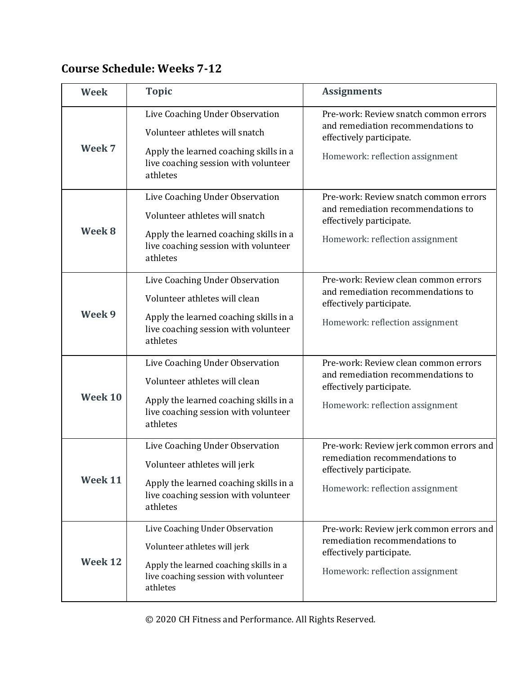## **Course Schedule: Weeks 7-12**

| <b>Week</b> | <b>Topic</b>                                                                                                                                                    | <b>Assignments</b>                                                                                                                         |
|-------------|-----------------------------------------------------------------------------------------------------------------------------------------------------------------|--------------------------------------------------------------------------------------------------------------------------------------------|
| Week 7      | Live Coaching Under Observation<br>Volunteer athletes will snatch<br>Apply the learned coaching skills in a<br>live coaching session with volunteer<br>athletes | Pre-work: Review snatch common errors<br>and remediation recommendations to<br>effectively participate.<br>Homework: reflection assignment |
| Week 8      | Live Coaching Under Observation<br>Volunteer athletes will snatch<br>Apply the learned coaching skills in a<br>live coaching session with volunteer<br>athletes | Pre-work: Review snatch common errors<br>and remediation recommendations to<br>effectively participate.<br>Homework: reflection assignment |
| Week 9      | Live Coaching Under Observation<br>Volunteer athletes will clean<br>Apply the learned coaching skills in a<br>live coaching session with volunteer<br>athletes  | Pre-work: Review clean common errors<br>and remediation recommendations to<br>effectively participate.<br>Homework: reflection assignment  |
| Week 10     | Live Coaching Under Observation<br>Volunteer athletes will clean<br>Apply the learned coaching skills in a<br>live coaching session with volunteer<br>athletes  | Pre-work: Review clean common errors<br>and remediation recommendations to<br>effectively participate.<br>Homework: reflection assignment  |
| Week 11     | Live Coaching Under Observation<br>Volunteer athletes will jerk<br>Apply the learned coaching skills in a<br>live coaching session with volunteer<br>athletes   | Pre-work: Review jerk common errors and<br>remediation recommendations to<br>effectively participate.<br>Homework: reflection assignment   |
| Week 12     | Live Coaching Under Observation<br>Volunteer athletes will jerk<br>Apply the learned coaching skills in a<br>live coaching session with volunteer<br>athletes   | Pre-work: Review jerk common errors and<br>remediation recommendations to<br>effectively participate.<br>Homework: reflection assignment   |

© 2020 CH Fitness and Performance. All Rights Reserved.